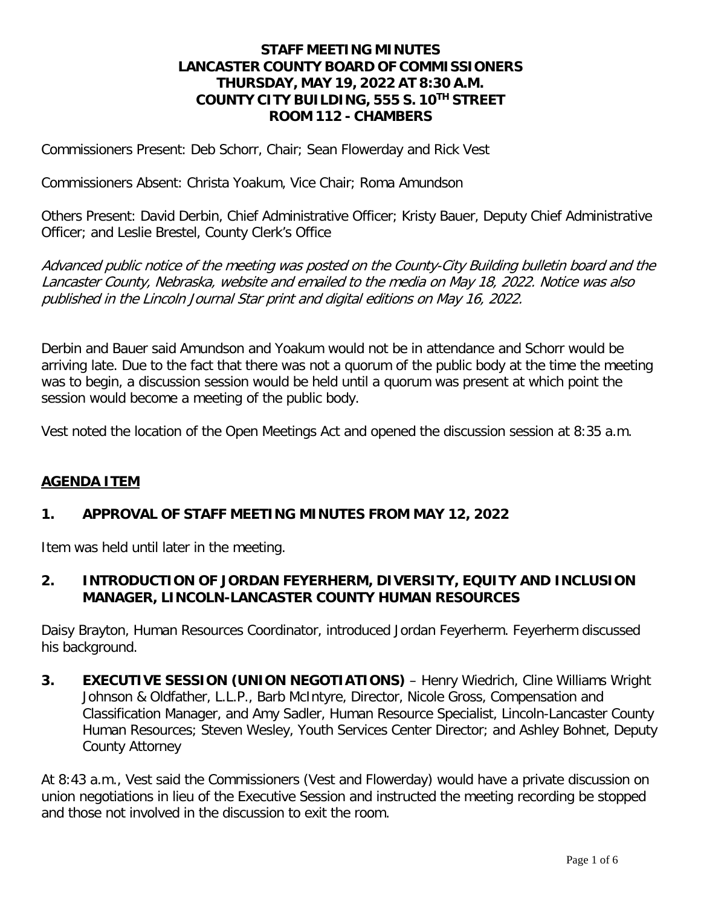#### **STAFF MEETING MINUTES LANCASTER COUNTY BOARD OF COMMISSIONERS THURSDAY, MAY 19, 2022 AT 8:30 A.M. COUNTY CITY BUILDING, 555 S. 10TH STREET ROOM 112 - CHAMBERS**

Commissioners Present: Deb Schorr, Chair; Sean Flowerday and Rick Vest

Commissioners Absent: Christa Yoakum, Vice Chair; Roma Amundson

Others Present: David Derbin, Chief Administrative Officer; Kristy Bauer, Deputy Chief Administrative Officer; and Leslie Brestel, County Clerk's Office

Advanced public notice of the meeting was posted on the County-City Building bulletin board and the Lancaster County, Nebraska, website and emailed to the media on May 18, 2022. Notice was also published in the Lincoln Journal Star print and digital editions on May 16, 2022.

Derbin and Bauer said Amundson and Yoakum would not be in attendance and Schorr would be arriving late. Due to the fact that there was not a quorum of the public body at the time the meeting was to begin, a discussion session would be held until a quorum was present at which point the session would become a meeting of the public body.

Vest noted the location of the Open Meetings Act and opened the discussion session at 8:35 a.m.

#### **AGENDA ITEM**

#### **1. APPROVAL OF STAFF MEETING MINUTES FROM MAY 12, 2022**

Item was held until later in the meeting.

#### **2. INTRODUCTION OF JORDAN FEYERHERM, DIVERSITY, EQUITY AND INCLUSION MANAGER, LINCOLN-LANCASTER COUNTY HUMAN RESOURCES**

Daisy Brayton, Human Resources Coordinator, introduced Jordan Feyerherm. Feyerherm discussed his background.

**3. EXECUTIVE SESSION (UNION NEGOTIATIONS)** – Henry Wiedrich, Cline Williams Wright Johnson & Oldfather, L.L.P., Barb McIntyre, Director, Nicole Gross, Compensation and Classification Manager, and Amy Sadler, Human Resource Specialist, Lincoln-Lancaster County Human Resources; Steven Wesley, Youth Services Center Director; and Ashley Bohnet, Deputy County Attorney

At 8:43 a.m., Vest said the Commissioners (Vest and Flowerday) would have a private discussion on union negotiations in lieu of the Executive Session and instructed the meeting recording be stopped and those not involved in the discussion to exit the room.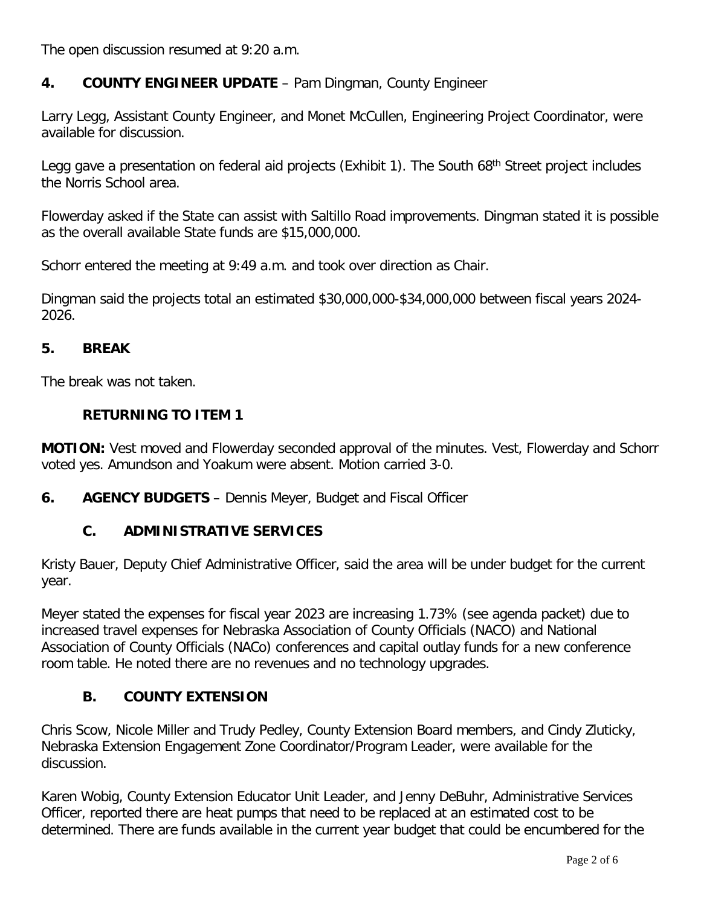The open discussion resumed at 9:20 a.m.

### **4. COUNTY ENGINEER UPDATE** – Pam Dingman, County Engineer

Larry Legg, Assistant County Engineer, and Monet McCullen, Engineering Project Coordinator, were available for discussion.

Legg gave a presentation on federal aid projects (Exhibit 1). The South 68<sup>th</sup> Street project includes the Norris School area.

Flowerday asked if the State can assist with Saltillo Road improvements. Dingman stated it is possible as the overall available State funds are \$15,000,000.

Schorr entered the meeting at 9:49 a.m. and took over direction as Chair.

Dingman said the projects total an estimated \$30,000,000-\$34,000,000 between fiscal years 2024- 2026.

#### **5. BREAK**

The break was not taken.

#### **RETURNING TO ITEM 1**

**MOTION:** Vest moved and Flowerday seconded approval of the minutes. Vest, Flowerday and Schorr voted yes. Amundson and Yoakum were absent. Motion carried 3-0.

**6. AGENCY BUDGETS** – Dennis Meyer, Budget and Fiscal Officer

#### **C. ADMINISTRATIVE SERVICES**

Kristy Bauer, Deputy Chief Administrative Officer, said the area will be under budget for the current year.

Meyer stated the expenses for fiscal year 2023 are increasing 1.73% (see agenda packet) due to increased travel expenses for Nebraska Association of County Officials (NACO) and National Association of County Officials (NACo) conferences and capital outlay funds for a new conference room table. He noted there are no revenues and no technology upgrades.

#### **B. COUNTY EXTENSION**

Chris Scow, Nicole Miller and Trudy Pedley, County Extension Board members, and Cindy Zluticky, Nebraska Extension Engagement Zone Coordinator/Program Leader, were available for the discussion.

Karen Wobig, County Extension Educator Unit Leader, and Jenny DeBuhr, Administrative Services Officer, reported there are heat pumps that need to be replaced at an estimated cost to be determined. There are funds available in the current year budget that could be encumbered for the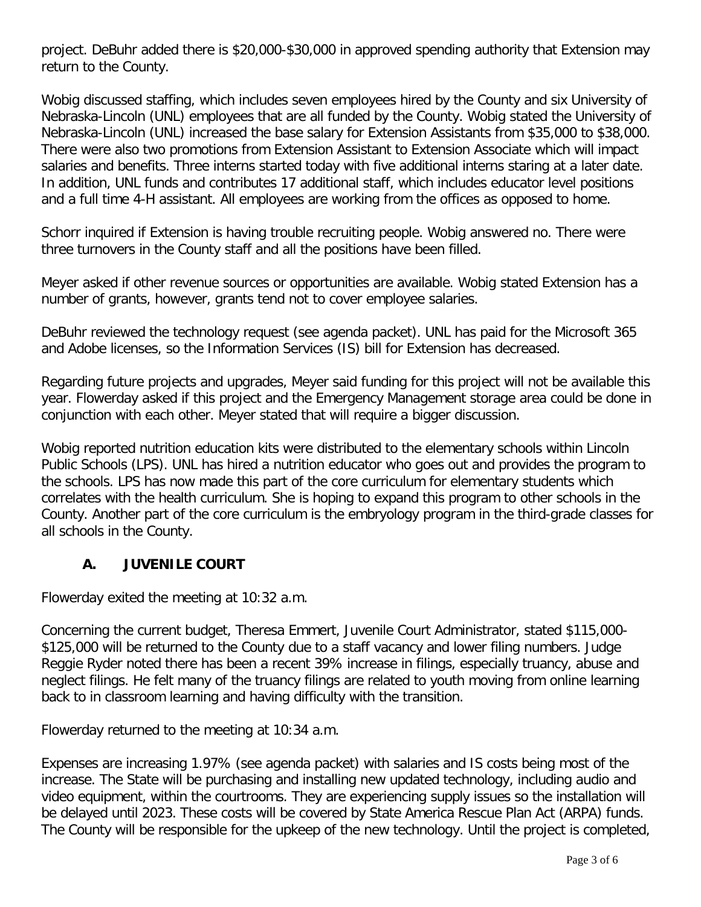project. DeBuhr added there is \$20,000-\$30,000 in approved spending authority that Extension may return to the County.

Wobig discussed staffing, which includes seven employees hired by the County and six University of Nebraska-Lincoln (UNL) employees that are all funded by the County. Wobig stated the University of Nebraska-Lincoln (UNL) increased the base salary for Extension Assistants from \$35,000 to \$38,000. There were also two promotions from Extension Assistant to Extension Associate which will impact salaries and benefits. Three interns started today with five additional interns staring at a later date. In addition, UNL funds and contributes 17 additional staff, which includes educator level positions and a full time 4-H assistant. All employees are working from the offices as opposed to home.

Schorr inquired if Extension is having trouble recruiting people. Wobig answered no. There were three turnovers in the County staff and all the positions have been filled.

Meyer asked if other revenue sources or opportunities are available. Wobig stated Extension has a number of grants, however, grants tend not to cover employee salaries.

DeBuhr reviewed the technology request (see agenda packet). UNL has paid for the Microsoft 365 and Adobe licenses, so the Information Services (IS) bill for Extension has decreased.

Regarding future projects and upgrades, Meyer said funding for this project will not be available this year. Flowerday asked if this project and the Emergency Management storage area could be done in conjunction with each other. Meyer stated that will require a bigger discussion.

Wobig reported nutrition education kits were distributed to the elementary schools within Lincoln Public Schools (LPS). UNL has hired a nutrition educator who goes out and provides the program to the schools. LPS has now made this part of the core curriculum for elementary students which correlates with the health curriculum. She is hoping to expand this program to other schools in the County. Another part of the core curriculum is the embryology program in the third-grade classes for all schools in the County.

# **A. JUVENILE COURT**

Flowerday exited the meeting at 10:32 a.m.

Concerning the current budget, Theresa Emmert, Juvenile Court Administrator, stated \$115,000- \$125,000 will be returned to the County due to a staff vacancy and lower filing numbers. Judge Reggie Ryder noted there has been a recent 39% increase in filings, especially truancy, abuse and neglect filings. He felt many of the truancy filings are related to youth moving from online learning back to in classroom learning and having difficulty with the transition.

Flowerday returned to the meeting at 10:34 a.m.

Expenses are increasing 1.97% (see agenda packet) with salaries and IS costs being most of the increase. The State will be purchasing and installing new updated technology, including audio and video equipment, within the courtrooms. They are experiencing supply issues so the installation will be delayed until 2023. These costs will be covered by State America Rescue Plan Act (ARPA) funds. The County will be responsible for the upkeep of the new technology. Until the project is completed,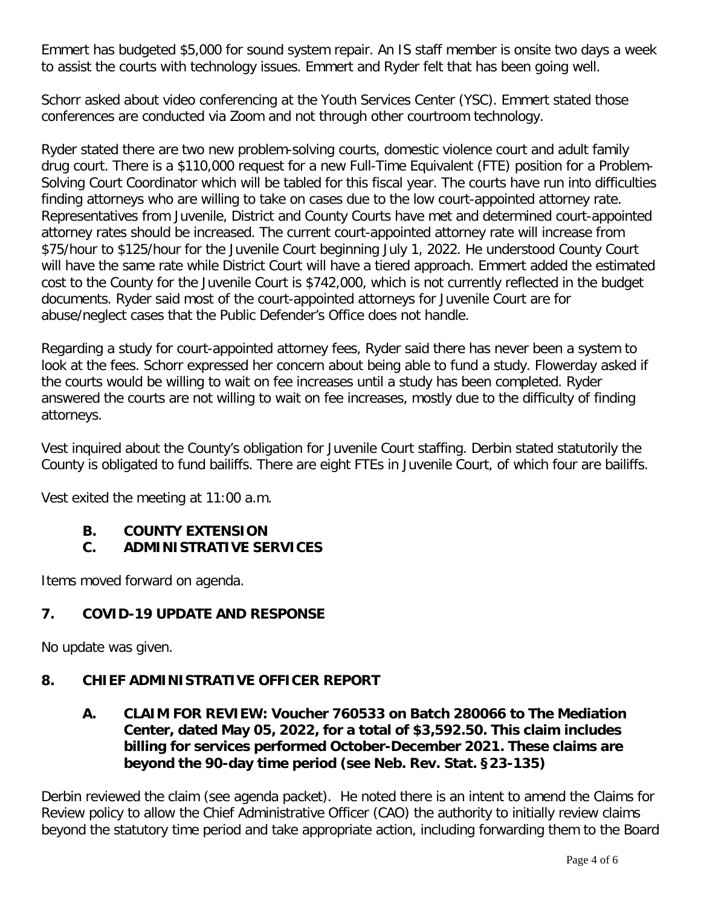Emmert has budgeted \$5,000 for sound system repair. An IS staff member is onsite two days a week to assist the courts with technology issues. Emmert and Ryder felt that has been going well.

Schorr asked about video conferencing at the Youth Services Center (YSC). Emmert stated those conferences are conducted via Zoom and not through other courtroom technology.

Ryder stated there are two new problem-solving courts, domestic violence court and adult family drug court. There is a \$110,000 request for a new Full-Time Equivalent (FTE) position for a Problem-Solving Court Coordinator which will be tabled for this fiscal year. The courts have run into difficulties finding attorneys who are willing to take on cases due to the low court-appointed attorney rate. Representatives from Juvenile, District and County Courts have met and determined court-appointed attorney rates should be increased. The current court-appointed attorney rate will increase from \$75/hour to \$125/hour for the Juvenile Court beginning July 1, 2022. He understood County Court will have the same rate while District Court will have a tiered approach. Emmert added the estimated cost to the County for the Juvenile Court is \$742,000, which is not currently reflected in the budget documents. Ryder said most of the court-appointed attorneys for Juvenile Court are for abuse/neglect cases that the Public Defender's Office does not handle.

Regarding a study for court-appointed attorney fees, Ryder said there has never been a system to look at the fees. Schorr expressed her concern about being able to fund a study. Flowerday asked if the courts would be willing to wait on fee increases until a study has been completed. Ryder answered the courts are not willing to wait on fee increases, mostly due to the difficulty of finding attorneys.

Vest inquired about the County's obligation for Juvenile Court staffing. Derbin stated statutorily the County is obligated to fund bailiffs. There are eight FTEs in Juvenile Court, of which four are bailiffs.

Vest exited the meeting at 11:00 a.m.

# **B. COUNTY EXTENSION**

# **C. ADMINISTRATIVE SERVICES**

Items moved forward on agenda.

# **7. COVID-19 UPDATE AND RESPONSE**

No update was given.

# **8. CHIEF ADMINISTRATIVE OFFICER REPORT**

**A. CLAIM FOR REVIEW: Voucher 760533 on Batch 280066 to The Mediation Center, dated May 05, 2022, for a total of \$3,592.50. This claim includes billing for services performed October-December 2021. These claims are beyond the 90-day time period (see Neb. Rev. Stat. §23-135)**

Derbin reviewed the claim (see agenda packet). He noted there is an intent to amend the Claims for Review policy to allow the Chief Administrative Officer (CAO) the authority to initially review claims beyond the statutory time period and take appropriate action, including forwarding them to the Board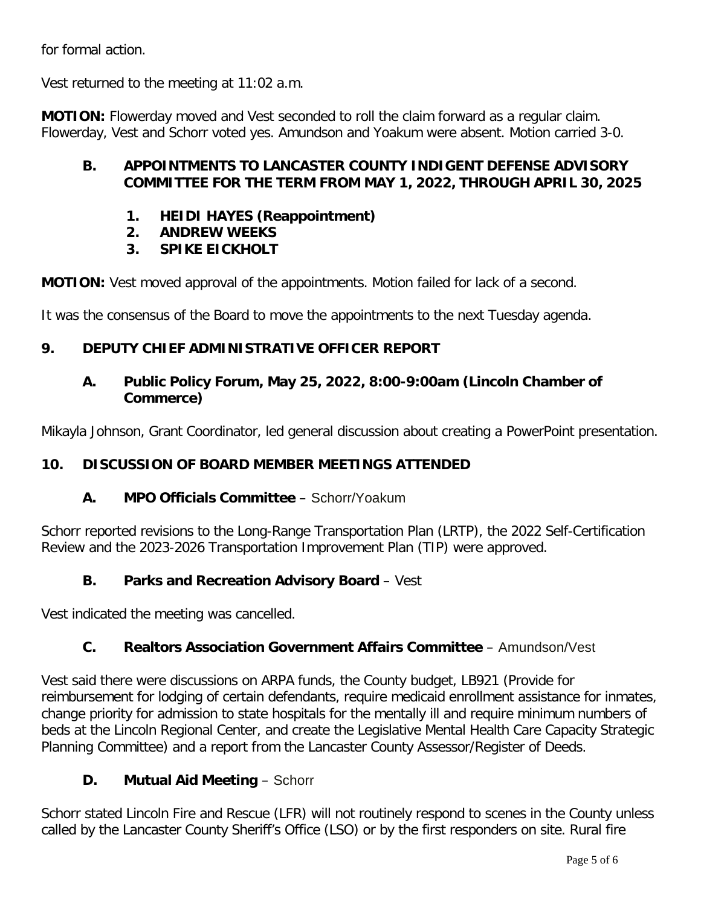for formal action.

Vest returned to the meeting at 11:02 a.m.

**MOTION:** Flowerday moved and Vest seconded to roll the claim forward as a regular claim. Flowerday, Vest and Schorr voted yes. Amundson and Yoakum were absent. Motion carried 3-0.

# **B. APPOINTMENTS TO LANCASTER COUNTY INDIGENT DEFENSE ADVISORY COMMITTEE FOR THE TERM FROM MAY 1, 2022, THROUGH APRIL 30, 2025**

- **1. HEIDI HAYES (Reappointment)**
- **2. ANDREW WEEKS**
- **3. SPIKE EICKHOLT**

**MOTION:** Vest moved approval of the appointments. Motion failed for lack of a second.

It was the consensus of the Board to move the appointments to the next Tuesday agenda.

# **9. DEPUTY CHIEF ADMINISTRATIVE OFFICER REPORT**

#### **A. Public Policy Forum, May 25, 2022, 8:00-9:00am (Lincoln Chamber of Commerce)**

Mikayla Johnson, Grant Coordinator, led general discussion about creating a PowerPoint presentation.

# **10. DISCUSSION OF BOARD MEMBER MEETINGS ATTENDED**

# **A. MPO Officials Committee** – Schorr/Yoakum

Schorr reported revisions to the Long-Range Transportation Plan (LRTP), the 2022 Self-Certification Review and the 2023-2026 Transportation Improvement Plan (TIP) were approved.

# **B. Parks and Recreation Advisory Board** – Vest

Vest indicated the meeting was cancelled.

# **C. Realtors Association Government Affairs Committee** – Amundson/Vest

Vest said there were discussions on ARPA funds, the County budget, LB921 (Provide for reimbursement for lodging of certain defendants, require medicaid enrollment assistance for inmates, change priority for admission to state hospitals for the mentally ill and require minimum numbers of beds at the Lincoln Regional Center, and create the Legislative Mental Health Care Capacity Strategic Planning Committee) and a report from the Lancaster County Assessor/Register of Deeds.

# **D. Mutual Aid Meeting** – Schorr

Schorr stated Lincoln Fire and Rescue (LFR) will not routinely respond to scenes in the County unless called by the Lancaster County Sheriff's Office (LSO) or by the first responders on site. Rural fire